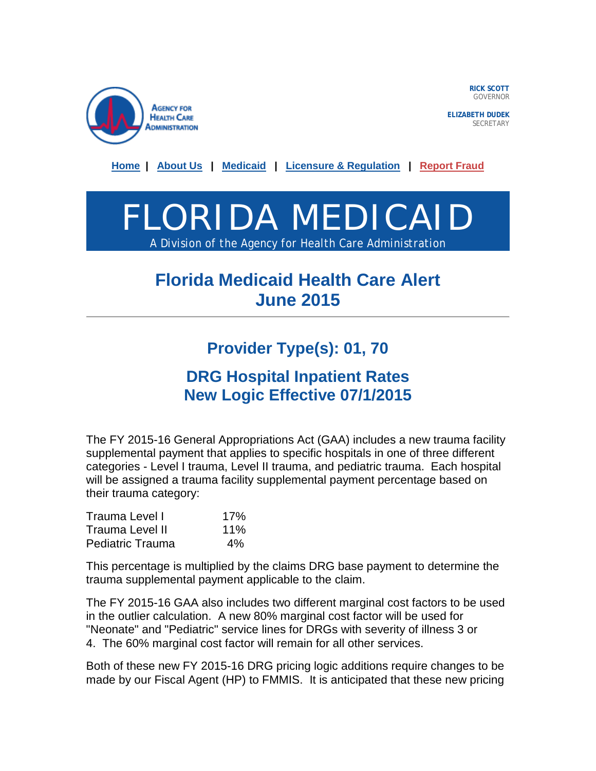

**RICK SCOTT** GOVERNOR

**ELIZABETH DUDEK SECRETARY** 

**[Home](http://ahca.myflorida.com/) | [About Us](http://ahca.myflorida.com/Inside_AHCA/index.shtml) | [Medicaid](http://ahca.myflorida.com/Medicaid/index.shtml) | [Licensure & Regulation](http://ahca.myflorida.com/MCHQ/index.shtml) | [Report Fraud](http://ahca.myflorida.com/Executive/Inspector_General/complaints.shtml)**



## **Florida Medicaid Health Care Alert June 2015**

## **Provider Type(s): 01, 70**

## **DRG Hospital Inpatient Rates New Logic Effective 07/1/2015**

The FY 2015-16 General Appropriations Act (GAA) includes a new trauma facility supplemental payment that applies to specific hospitals in one of three different categories - Level I trauma, Level II trauma, and pediatric trauma. Each hospital will be assigned a trauma facility supplemental payment percentage based on their trauma category:

| Trauma Level I          | 17%   |
|-------------------------|-------|
| Trauma Level II         | 11%   |
| <b>Pediatric Trauma</b> | $4\%$ |

This percentage is multiplied by the claims DRG base payment to determine the trauma supplemental payment applicable to the claim.

The FY 2015-16 GAA also includes two different marginal cost factors to be used in the outlier calculation. A new 80% marginal cost factor will be used for "Neonate" and "Pediatric" service lines for DRGs with severity of illness 3 or 4. The 60% marginal cost factor will remain for all other services.

Both of these new FY 2015-16 DRG pricing logic additions require changes to be made by our Fiscal Agent (HP) to FMMIS. It is anticipated that these new pricing